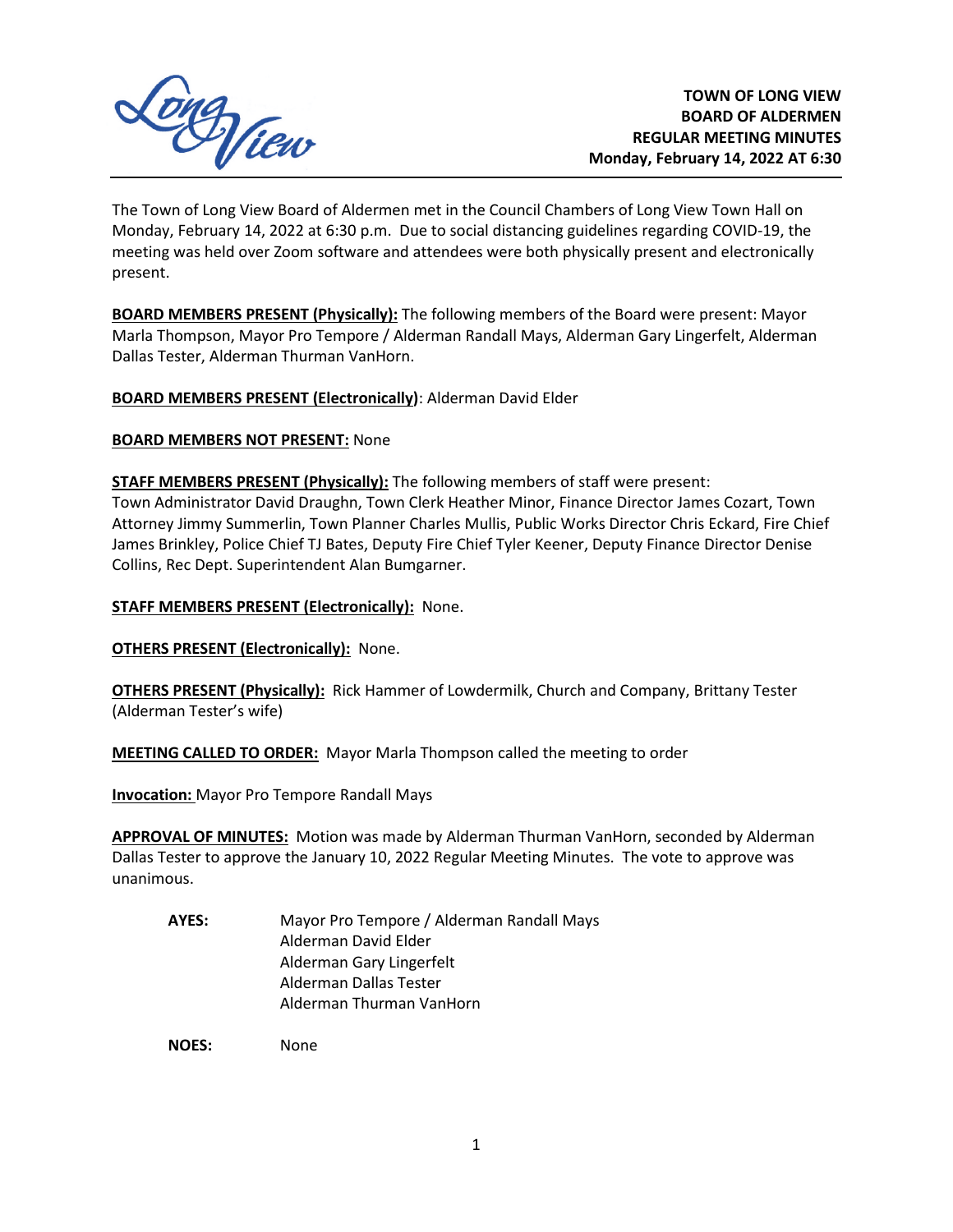

The Town of Long View Board of Aldermen met in the Council Chambers of Long View Town Hall on Monday, February 14, 2022 at 6:30 p.m. Due to social distancing guidelines regarding COVID-19, the meeting was held over Zoom software and attendees were both physically present and electronically present.

**BOARD MEMBERS PRESENT (Physically):** The following members of the Board were present: Mayor Marla Thompson, Mayor Pro Tempore / Alderman Randall Mays, Alderman Gary Lingerfelt, Alderman Dallas Tester, Alderman Thurman VanHorn.

**BOARD MEMBERS PRESENT (Electronically)**: Alderman David Elder

**BOARD MEMBERS NOT PRESENT:** None

**STAFF MEMBERS PRESENT (Physically):** The following members of staff were present: Town Administrator David Draughn, Town Clerk Heather Minor, Finance Director James Cozart, Town Attorney Jimmy Summerlin, Town Planner Charles Mullis, Public Works Director Chris Eckard, Fire Chief James Brinkley, Police Chief TJ Bates, Deputy Fire Chief Tyler Keener, Deputy Finance Director Denise Collins, Rec Dept. Superintendent Alan Bumgarner.

**STAFF MEMBERS PRESENT (Electronically):** None.

**OTHERS PRESENT (Electronically): None.** 

**OTHERS PRESENT (Physically):** Rick Hammer of Lowdermilk, Church and Company, Brittany Tester (Alderman Tester's wife)

**MEETING CALLED TO ORDER:** Mayor Marla Thompson called the meeting to order

**Invocation:** Mayor Pro Tempore Randall Mays

**APPROVAL OF MINUTES:** Motion was made by Alderman Thurman VanHorn, seconded by Alderman Dallas Tester to approve the January 10, 2022 Regular Meeting Minutes. The vote to approve was unanimous.

**AYES:** Mayor Pro Tempore / Alderman Randall Mays Alderman David Elder Alderman Gary Lingerfelt Alderman Dallas Tester Alderman Thurman VanHorn

**NOES:** None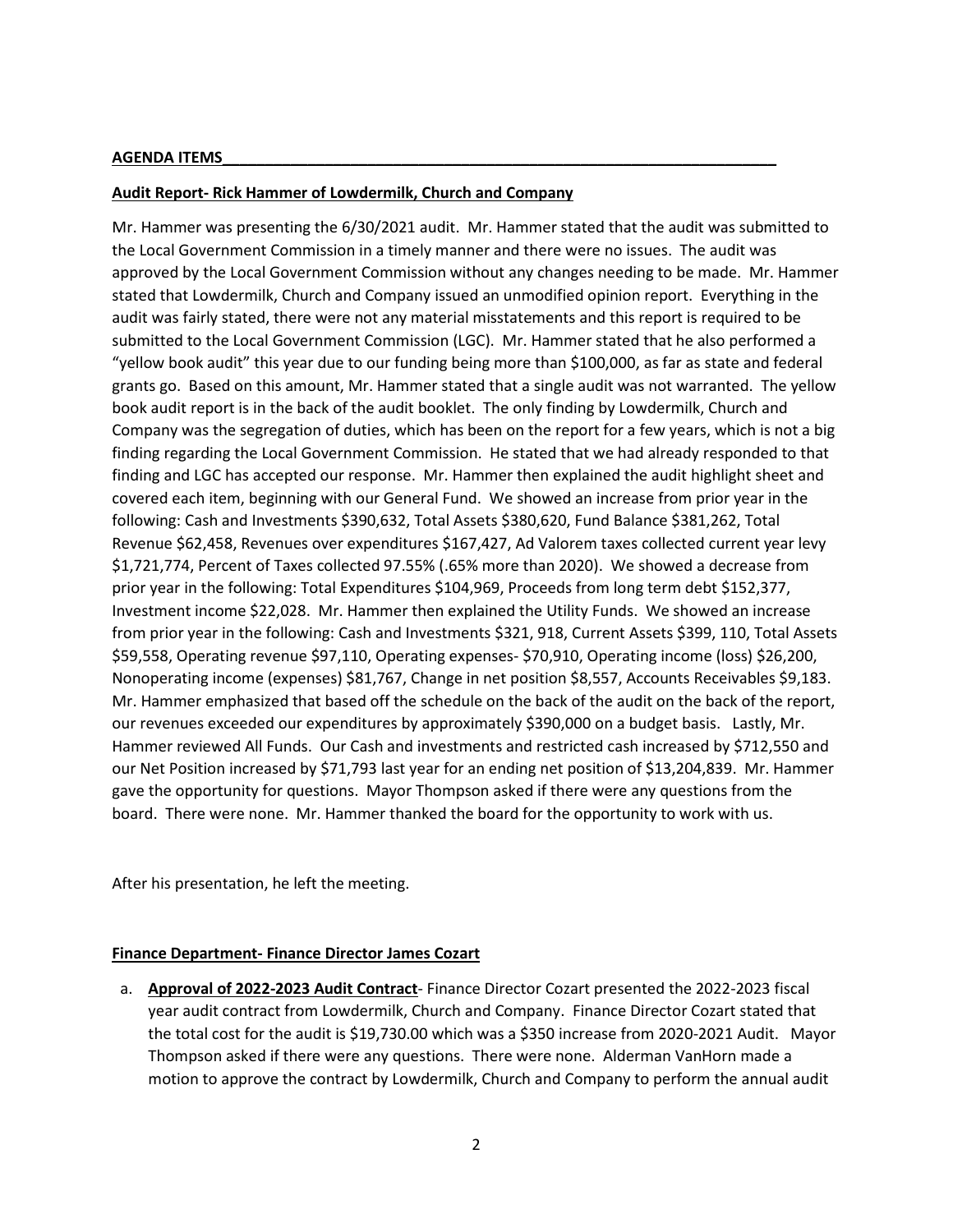#### **AGENDA ITEMS\_\_\_\_\_\_\_\_\_\_\_\_\_\_\_\_\_\_\_\_\_\_\_\_\_\_\_\_\_\_\_\_\_\_\_\_\_\_\_\_\_\_\_\_\_\_\_\_\_\_\_\_\_\_\_\_\_\_\_\_\_\_\_\_\_**

## **Audit Report- Rick Hammer of Lowdermilk, Church and Company**

Mr. Hammer was presenting the 6/30/2021 audit. Mr. Hammer stated that the audit was submitted to the Local Government Commission in a timely manner and there were no issues. The audit was approved by the Local Government Commission without any changes needing to be made. Mr. Hammer stated that Lowdermilk, Church and Company issued an unmodified opinion report. Everything in the audit was fairly stated, there were not any material misstatements and this report is required to be submitted to the Local Government Commission (LGC). Mr. Hammer stated that he also performed a "yellow book audit" this year due to our funding being more than \$100,000, as far as state and federal grants go. Based on this amount, Mr. Hammer stated that a single audit was not warranted. The yellow book audit report is in the back of the audit booklet. The only finding by Lowdermilk, Church and Company was the segregation of duties, which has been on the report for a few years, which is not a big finding regarding the Local Government Commission. He stated that we had already responded to that finding and LGC has accepted our response. Mr. Hammer then explained the audit highlight sheet and covered each item, beginning with our General Fund. We showed an increase from prior year in the following: Cash and Investments \$390,632, Total Assets \$380,620, Fund Balance \$381,262, Total Revenue \$62,458, Revenues over expenditures \$167,427, Ad Valorem taxes collected current year levy \$1,721,774, Percent of Taxes collected 97.55% (.65% more than 2020). We showed a decrease from prior year in the following: Total Expenditures \$104,969, Proceeds from long term debt \$152,377, Investment income \$22,028. Mr. Hammer then explained the Utility Funds. We showed an increase from prior year in the following: Cash and Investments \$321, 918, Current Assets \$399, 110, Total Assets \$59,558, Operating revenue \$97,110, Operating expenses- \$70,910, Operating income (loss) \$26,200, Nonoperating income (expenses) \$81,767, Change in net position \$8,557, Accounts Receivables \$9,183. Mr. Hammer emphasized that based off the schedule on the back of the audit on the back of the report, our revenues exceeded our expenditures by approximately \$390,000 on a budget basis. Lastly, Mr. Hammer reviewed All Funds. Our Cash and investments and restricted cash increased by \$712,550 and our Net Position increased by \$71,793 last year for an ending net position of \$13,204,839. Mr. Hammer gave the opportunity for questions. Mayor Thompson asked if there were any questions from the board. There were none. Mr. Hammer thanked the board for the opportunity to work with us.

After his presentation, he left the meeting.

# **Finance Department- Finance Director James Cozart**

a. **Approval of 2022-2023 Audit Contract**- Finance Director Cozart presented the 2022-2023 fiscal year audit contract from Lowdermilk, Church and Company. Finance Director Cozart stated that the total cost for the audit is \$19,730.00 which was a \$350 increase from 2020-2021 Audit. Mayor Thompson asked if there were any questions. There were none. Alderman VanHorn made a motion to approve the contract by Lowdermilk, Church and Company to perform the annual audit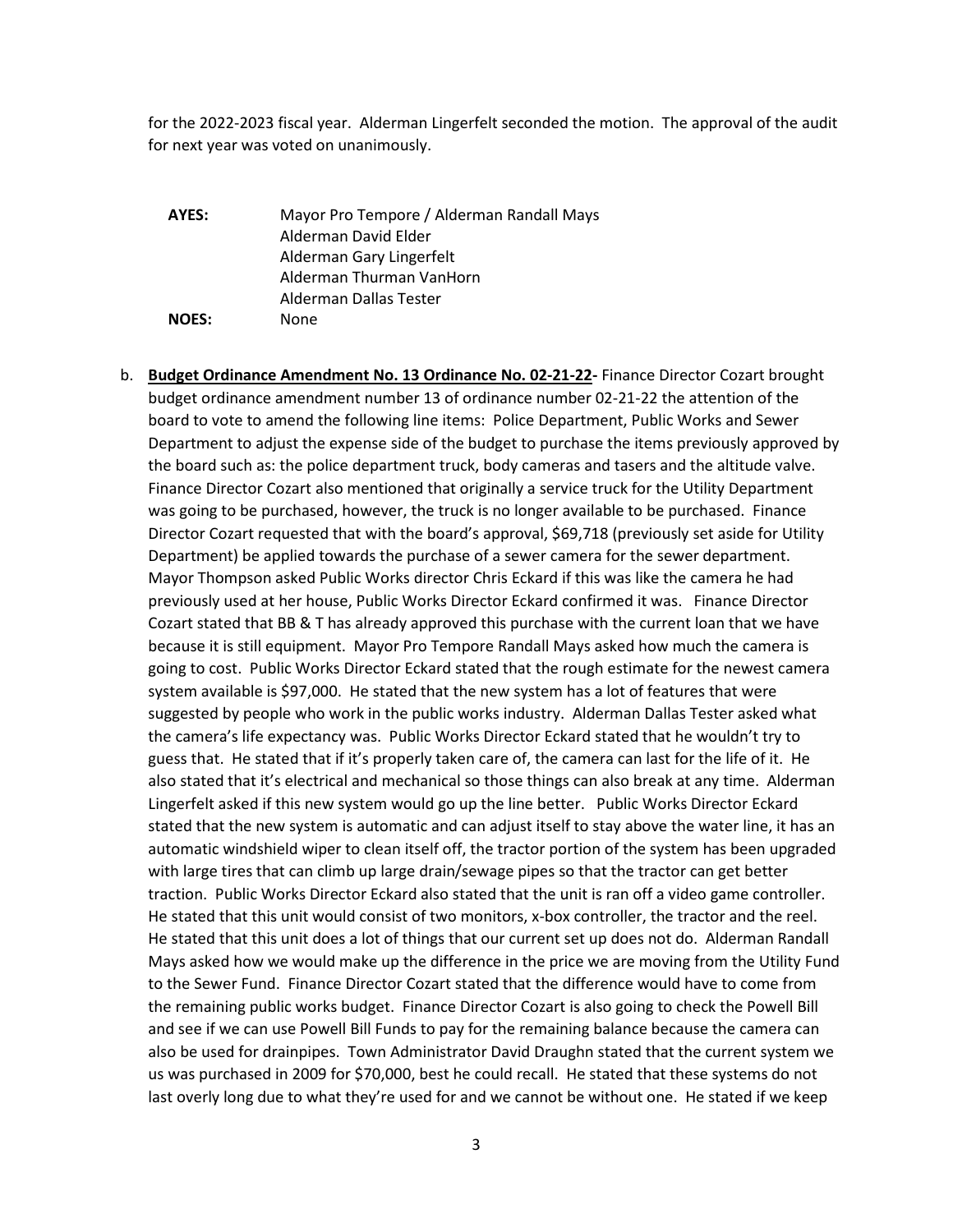for the 2022-2023 fiscal year. Alderman Lingerfelt seconded the motion. The approval of the audit for next year was voted on unanimously.

**AYES:** Mayor Pro Tempore / Alderman Randall Mays Alderman David Elder Alderman Gary Lingerfelt Alderman Thurman VanHorn Alderman Dallas Tester **NOES:** None

b. **Budget Ordinance Amendment No. 13 Ordinance No. 02-21-22-** Finance Director Cozart brought budget ordinance amendment number 13 of ordinance number 02-21-22 the attention of the board to vote to amend the following line items: Police Department, Public Works and Sewer Department to adjust the expense side of the budget to purchase the items previously approved by the board such as: the police department truck, body cameras and tasers and the altitude valve. Finance Director Cozart also mentioned that originally a service truck for the Utility Department was going to be purchased, however, the truck is no longer available to be purchased. Finance Director Cozart requested that with the board's approval, \$69,718 (previously set aside for Utility Department) be applied towards the purchase of a sewer camera for the sewer department. Mayor Thompson asked Public Works director Chris Eckard if this was like the camera he had previously used at her house, Public Works Director Eckard confirmed it was. Finance Director Cozart stated that BB & T has already approved this purchase with the current loan that we have because it is still equipment. Mayor Pro Tempore Randall Mays asked how much the camera is going to cost. Public Works Director Eckard stated that the rough estimate for the newest camera system available is \$97,000. He stated that the new system has a lot of features that were suggested by people who work in the public works industry. Alderman Dallas Tester asked what the camera's life expectancy was. Public Works Director Eckard stated that he wouldn't try to guess that. He stated that if it's properly taken care of, the camera can last for the life of it. He also stated that it's electrical and mechanical so those things can also break at any time. Alderman Lingerfelt asked if this new system would go up the line better. Public Works Director Eckard stated that the new system is automatic and can adjust itself to stay above the water line, it has an automatic windshield wiper to clean itself off, the tractor portion of the system has been upgraded with large tires that can climb up large drain/sewage pipes so that the tractor can get better traction. Public Works Director Eckard also stated that the unit is ran off a video game controller. He stated that this unit would consist of two monitors, x-box controller, the tractor and the reel. He stated that this unit does a lot of things that our current set up does not do. Alderman Randall Mays asked how we would make up the difference in the price we are moving from the Utility Fund to the Sewer Fund. Finance Director Cozart stated that the difference would have to come from the remaining public works budget. Finance Director Cozart is also going to check the Powell Bill and see if we can use Powell Bill Funds to pay for the remaining balance because the camera can also be used for drainpipes. Town Administrator David Draughn stated that the current system we us was purchased in 2009 for \$70,000, best he could recall. He stated that these systems do not last overly long due to what they're used for and we cannot be without one. He stated if we keep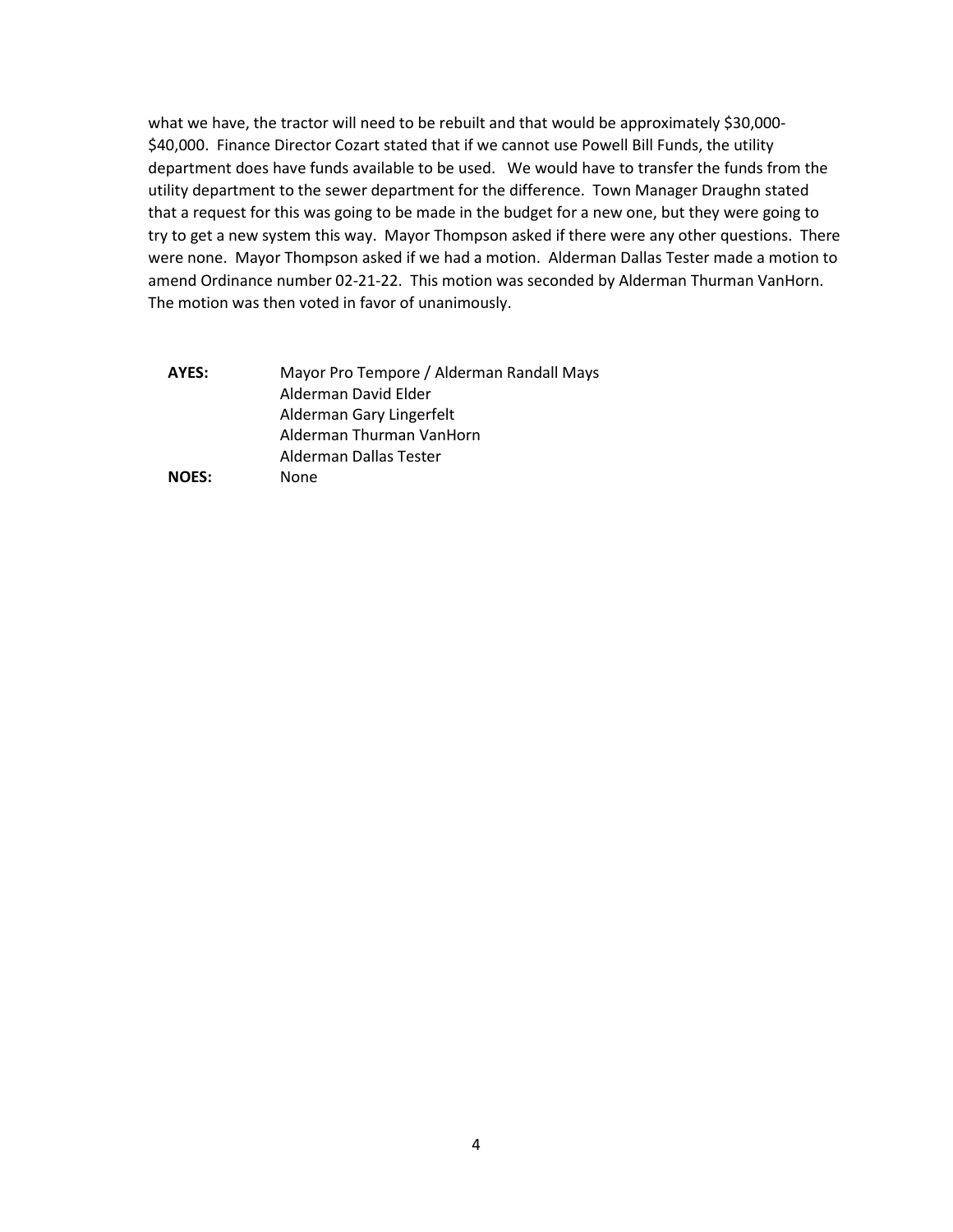what we have, the tractor will need to be rebuilt and that would be approximately \$30,000-\$40,000. Finance Director Cozart stated that if we cannot use Powell Bill Funds, the utility department does have funds available to be used. We would have to transfer the funds from the utility department to the sewer department for the difference. Town Manager Draughn stated that a request for this was going to be made in the budget for a new one, but they were going to try to get a new system this way. Mayor Thompson asked if there were any other questions. There were none. Mayor Thompson asked if we had a motion. Alderman Dallas Tester made a motion to amend Ordinance number 02-21-22. This motion was seconded by Alderman Thurman VanHorn. The motion was then voted in favor of unanimously.

| AYES:        | Mayor Pro Tempore / Alderman Randall Mays |
|--------------|-------------------------------------------|
|              | Alderman David Elder                      |
|              | Alderman Gary Lingerfelt                  |
|              | Alderman Thurman VanHorn                  |
|              | Alderman Dallas Tester                    |
| <b>NOES:</b> | None                                      |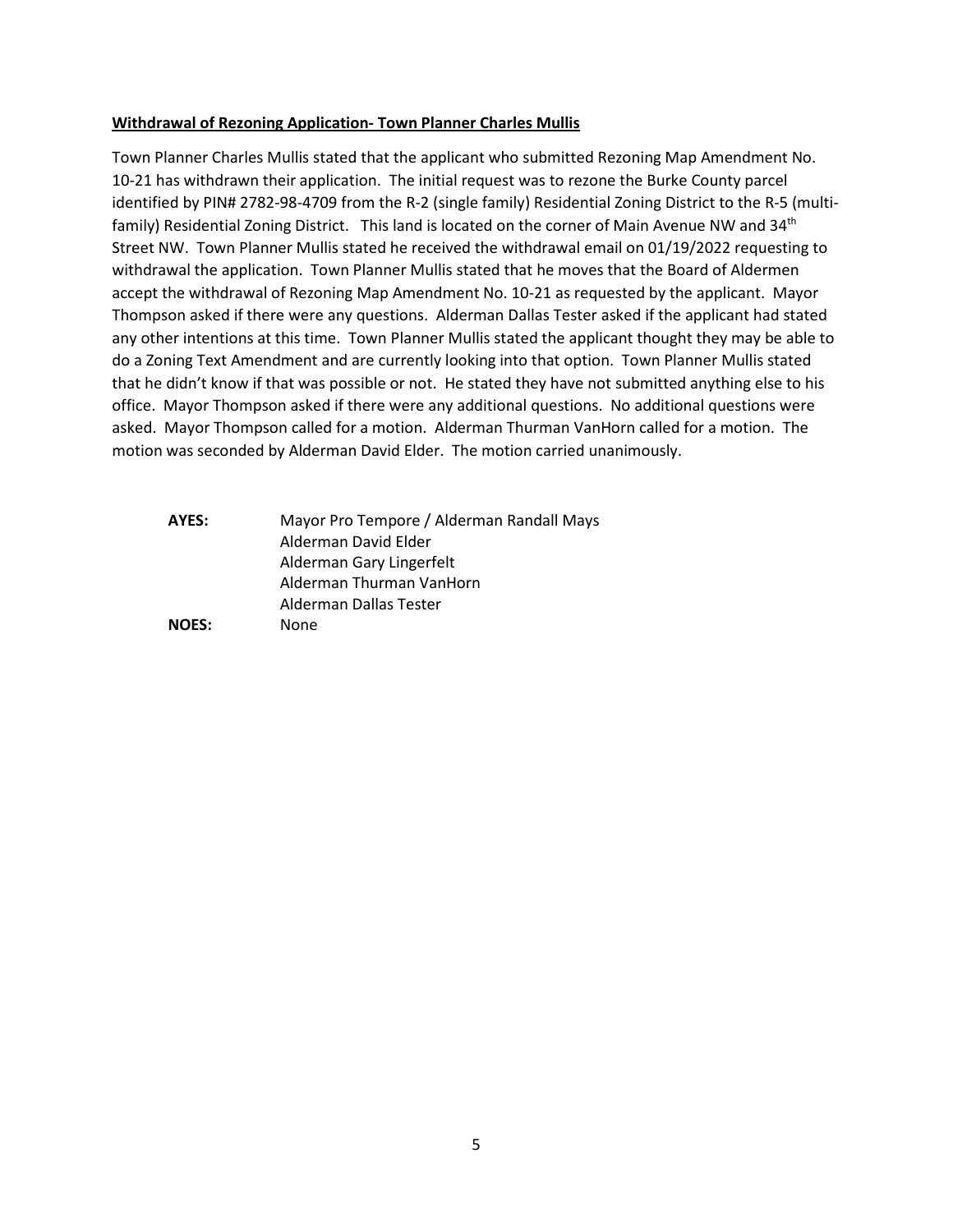### **Withdrawal of Rezoning Application- Town Planner Charles Mullis**

Town Planner Charles Mullis stated that the applicant who submitted Rezoning Map Amendment No. 10-21 has withdrawn their application. The initial request was to rezone the Burke County parcel identified by PIN# 2782-98-4709 from the R-2 (single family) Residential Zoning District to the R-5 (multifamily) Residential Zoning District. This land is located on the corner of Main Avenue NW and 34<sup>th</sup> Street NW. Town Planner Mullis stated he received the withdrawal email on 01/19/2022 requesting to withdrawal the application. Town Planner Mullis stated that he moves that the Board of Aldermen accept the withdrawal of Rezoning Map Amendment No. 10-21 as requested by the applicant. Mayor Thompson asked if there were any questions. Alderman Dallas Tester asked if the applicant had stated any other intentions at this time. Town Planner Mullis stated the applicant thought they may be able to do a Zoning Text Amendment and are currently looking into that option. Town Planner Mullis stated that he didn't know if that was possible or not. He stated they have not submitted anything else to his office. Mayor Thompson asked if there were any additional questions. No additional questions were asked. Mayor Thompson called for a motion. Alderman Thurman VanHorn called for a motion. The motion was seconded by Alderman David Elder. The motion carried unanimously.

**AYES:** Mayor Pro Tempore / Alderman Randall Mays Alderman David Elder Alderman Gary Lingerfelt Alderman Thurman VanHorn Alderman Dallas Tester **NOES:** None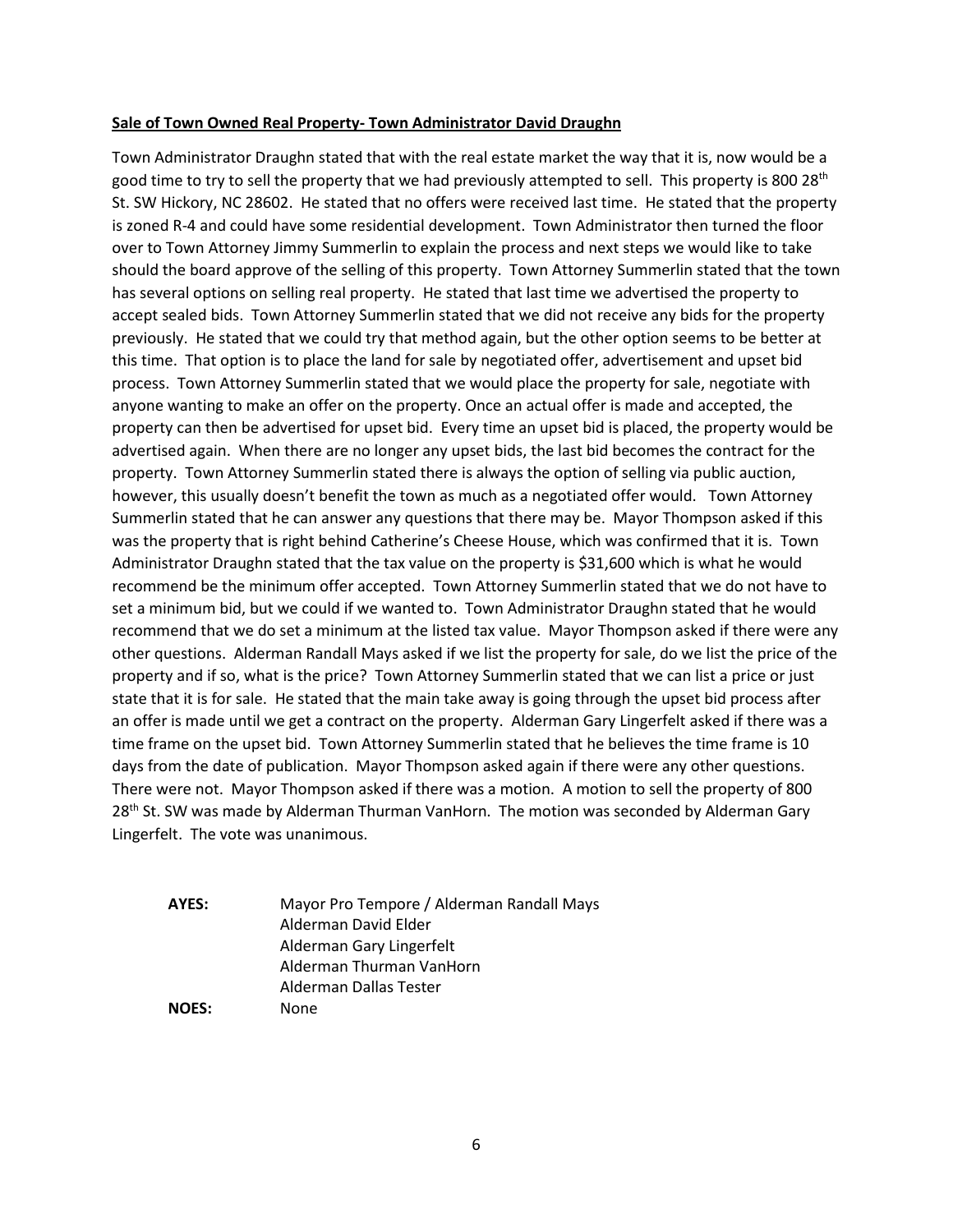#### **Sale of Town Owned Real Property- Town Administrator David Draughn**

Town Administrator Draughn stated that with the real estate market the way that it is, now would be a good time to try to sell the property that we had previously attempted to sell. This property is 800 28<sup>th</sup> St. SW Hickory, NC 28602. He stated that no offers were received last time. He stated that the property is zoned R-4 and could have some residential development. Town Administrator then turned the floor over to Town Attorney Jimmy Summerlin to explain the process and next steps we would like to take should the board approve of the selling of this property. Town Attorney Summerlin stated that the town has several options on selling real property. He stated that last time we advertised the property to accept sealed bids. Town Attorney Summerlin stated that we did not receive any bids for the property previously. He stated that we could try that method again, but the other option seems to be better at this time. That option is to place the land for sale by negotiated offer, advertisement and upset bid process. Town Attorney Summerlin stated that we would place the property for sale, negotiate with anyone wanting to make an offer on the property. Once an actual offer is made and accepted, the property can then be advertised for upset bid. Every time an upset bid is placed, the property would be advertised again. When there are no longer any upset bids, the last bid becomes the contract for the property. Town Attorney Summerlin stated there is always the option of selling via public auction, however, this usually doesn't benefit the town as much as a negotiated offer would. Town Attorney Summerlin stated that he can answer any questions that there may be. Mayor Thompson asked if this was the property that is right behind Catherine's Cheese House, which was confirmed that it is. Town Administrator Draughn stated that the tax value on the property is \$31,600 which is what he would recommend be the minimum offer accepted. Town Attorney Summerlin stated that we do not have to set a minimum bid, but we could if we wanted to. Town Administrator Draughn stated that he would recommend that we do set a minimum at the listed tax value. Mayor Thompson asked if there were any other questions. Alderman Randall Mays asked if we list the property for sale, do we list the price of the property and if so, what is the price? Town Attorney Summerlin stated that we can list a price or just state that it is for sale. He stated that the main take away is going through the upset bid process after an offer is made until we get a contract on the property. Alderman Gary Lingerfelt asked if there was a time frame on the upset bid. Town Attorney Summerlin stated that he believes the time frame is 10 days from the date of publication. Mayor Thompson asked again if there were any other questions. There were not. Mayor Thompson asked if there was a motion. A motion to sell the property of 800 28<sup>th</sup> St. SW was made by Alderman Thurman VanHorn. The motion was seconded by Alderman Gary Lingerfelt. The vote was unanimous.

**AYES:** Mayor Pro Tempore / Alderman Randall Mays Alderman David Elder Alderman Gary Lingerfelt Alderman Thurman VanHorn Alderman Dallas Tester **NOES:** None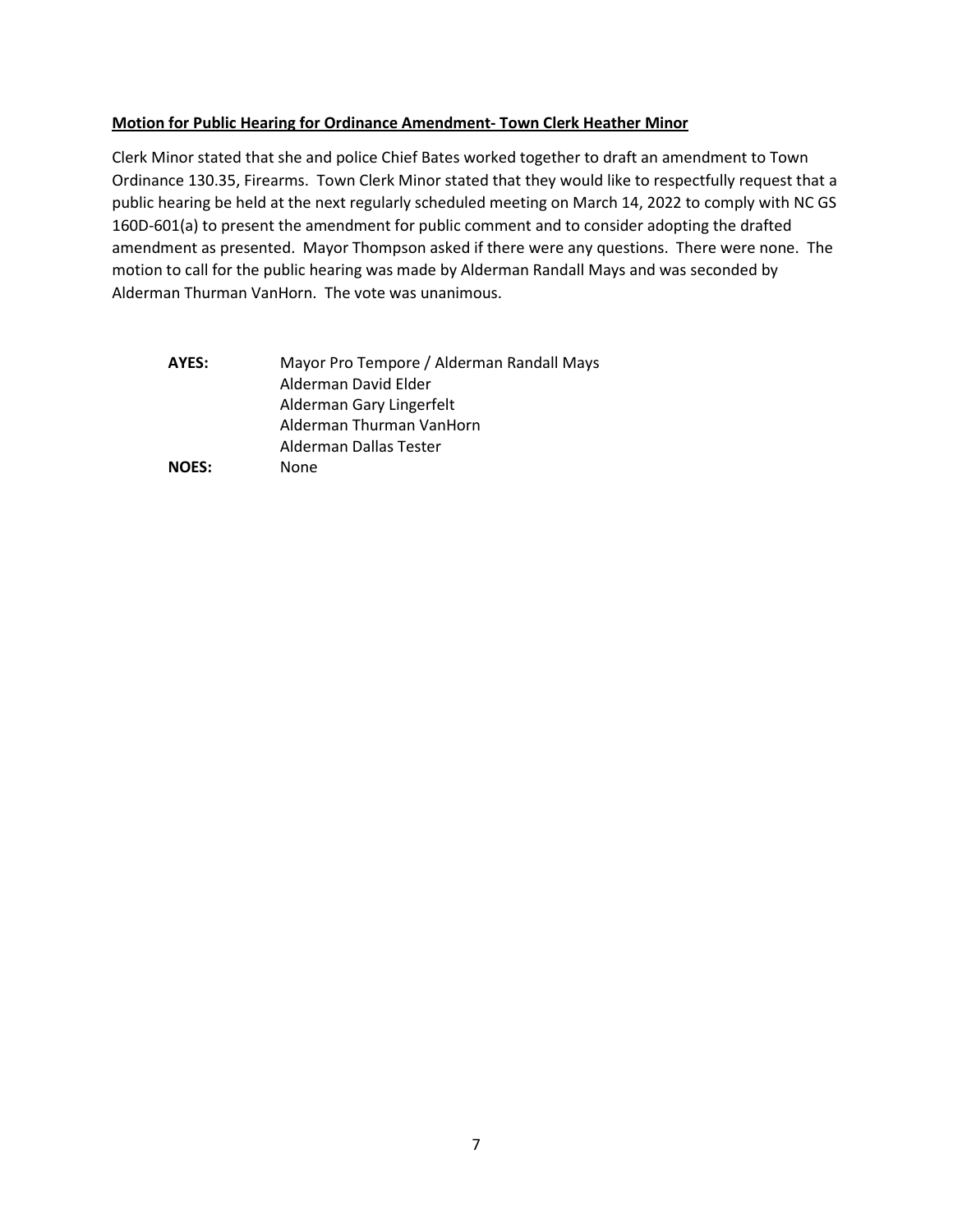# **Motion for Public Hearing for Ordinance Amendment- Town Clerk Heather Minor**

Clerk Minor stated that she and police Chief Bates worked together to draft an amendment to Town Ordinance 130.35, Firearms. Town Clerk Minor stated that they would like to respectfully request that a public hearing be held at the next regularly scheduled meeting on March 14, 2022 to comply with NC GS 160D-601(a) to present the amendment for public comment and to consider adopting the drafted amendment as presented. Mayor Thompson asked if there were any questions. There were none. The motion to call for the public hearing was made by Alderman Randall Mays and was seconded by Alderman Thurman VanHorn. The vote was unanimous.

| AYES:        | Mayor Pro Tempore / Alderman Randall Mays |
|--------------|-------------------------------------------|
|              | Alderman David Elder                      |
|              | Alderman Gary Lingerfelt                  |
|              | Alderman Thurman VanHorn                  |
|              | Alderman Dallas Tester                    |
| <b>NOES:</b> | None                                      |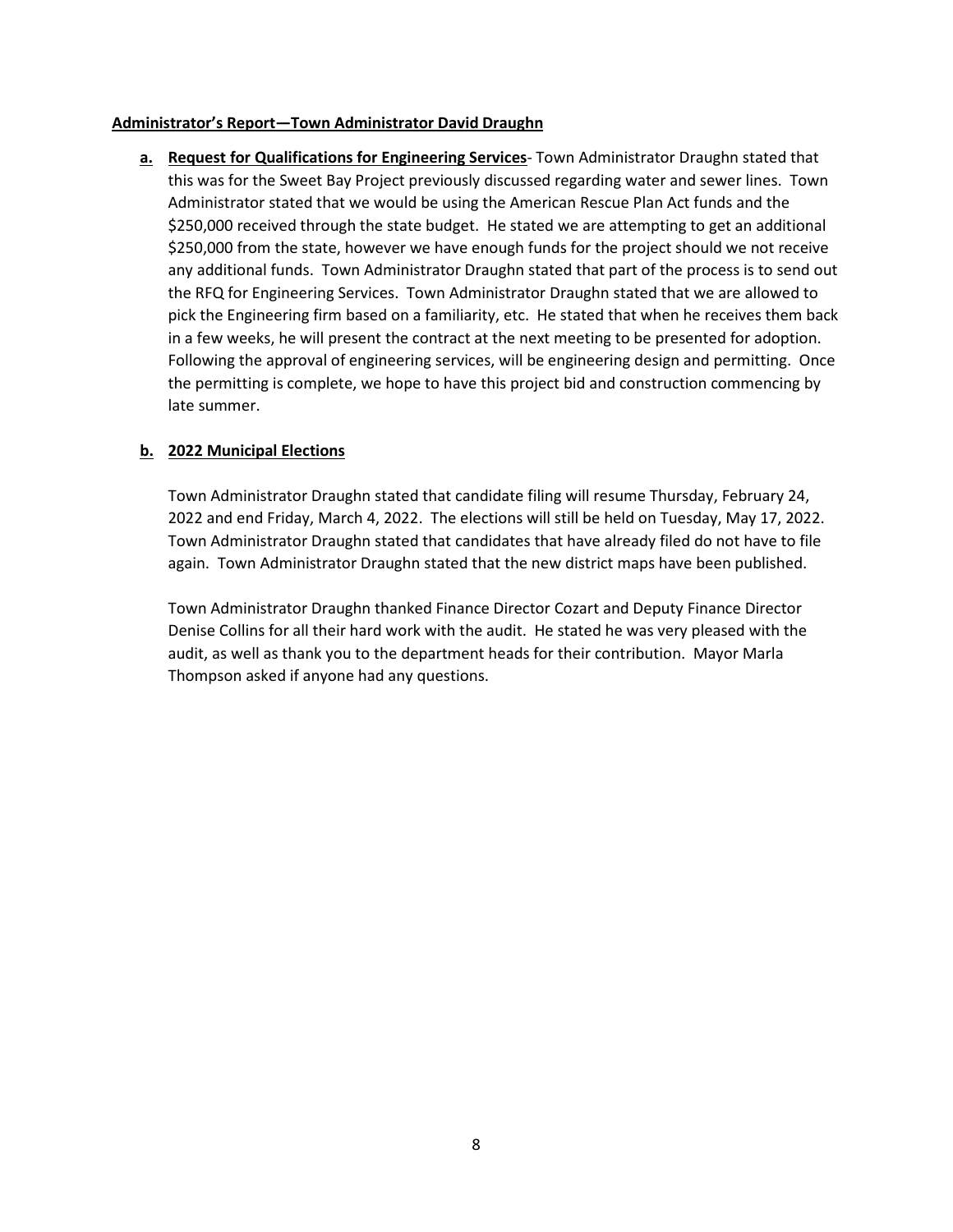### **Administrator's Report—Town Administrator David Draughn**

**a. Request for Qualifications for Engineering Services**- Town Administrator Draughn stated that this was for the Sweet Bay Project previously discussed regarding water and sewer lines. Town Administrator stated that we would be using the American Rescue Plan Act funds and the \$250,000 received through the state budget. He stated we are attempting to get an additional \$250,000 from the state, however we have enough funds for the project should we not receive any additional funds. Town Administrator Draughn stated that part of the process is to send out the RFQ for Engineering Services. Town Administrator Draughn stated that we are allowed to pick the Engineering firm based on a familiarity, etc. He stated that when he receives them back in a few weeks, he will present the contract at the next meeting to be presented for adoption. Following the approval of engineering services, will be engineering design and permitting. Once the permitting is complete, we hope to have this project bid and construction commencing by late summer.

# **b. 2022 Municipal Elections**

Town Administrator Draughn stated that candidate filing will resume Thursday, February 24, 2022 and end Friday, March 4, 2022. The elections will still be held on Tuesday, May 17, 2022. Town Administrator Draughn stated that candidates that have already filed do not have to file again. Town Administrator Draughn stated that the new district maps have been published.

Town Administrator Draughn thanked Finance Director Cozart and Deputy Finance Director Denise Collins for all their hard work with the audit. He stated he was very pleased with the audit, as well as thank you to the department heads for their contribution. Mayor Marla Thompson asked if anyone had any questions.